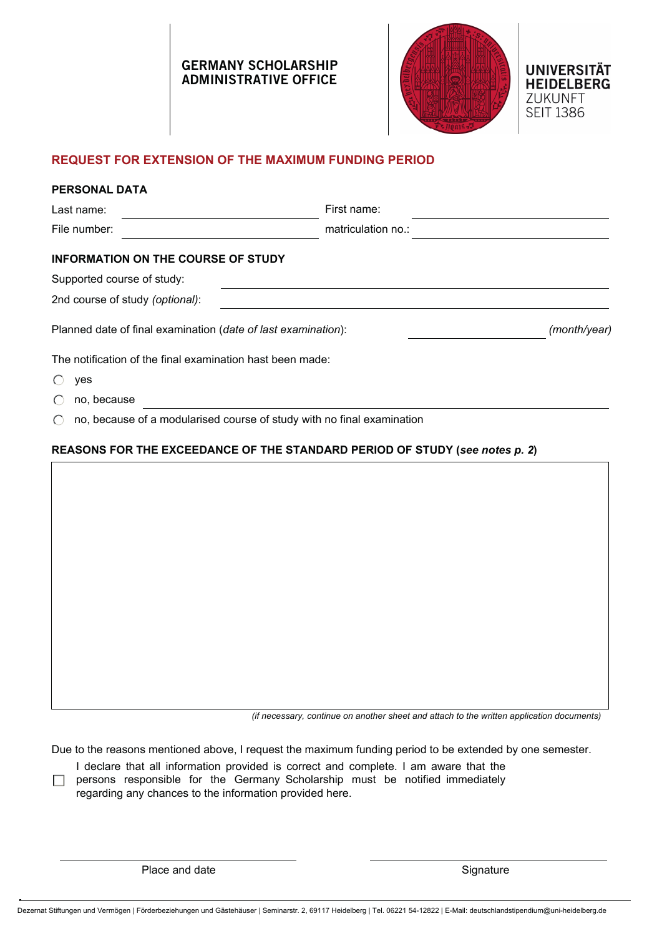# GERMANY SCHOLARSHIP ADMINISTRATIVE OFFICE



### **REQUEST FOR EXTENSION OF THE MAXIMUM FUNDING PERIOD**

| <b>PERSONAL DATA</b>                                          |                                                                             |              |
|---------------------------------------------------------------|-----------------------------------------------------------------------------|--------------|
| Last name:                                                    | First name:                                                                 |              |
| File number:                                                  | matriculation no.:                                                          |              |
| <b>INFORMATION ON THE COURSE OF STUDY</b>                     |                                                                             |              |
| Supported course of study:                                    |                                                                             |              |
| 2nd course of study (optional):                               |                                                                             |              |
| Planned date of final examination (date of last examination): |                                                                             | (month/year) |
| The notification of the final examination hast been made:     |                                                                             |              |
| yes                                                           |                                                                             |              |
| no, because<br>$\left( \begin{array}{c} \end{array} \right)$  |                                                                             |              |
|                                                               | no, because of a modularised course of study with no final examination      |              |
|                                                               | REASONS FOR THE EXCEEDANCE OF THE STANDARD PERIOD OF STUDY (see notes p. 2) |              |

*(if necessary, continue on another sheet and attach to the written application documents)*

Due to the reasons mentioned above, I request the maximum funding period to be extended by one semester.

- I declare that all information provided is correct and complete. I am aware that the
- $\Box$  persons responsible for the Germany Scholarship must be notified immediately

regarding any chances to the information provided here.

Place and date Signature Signature